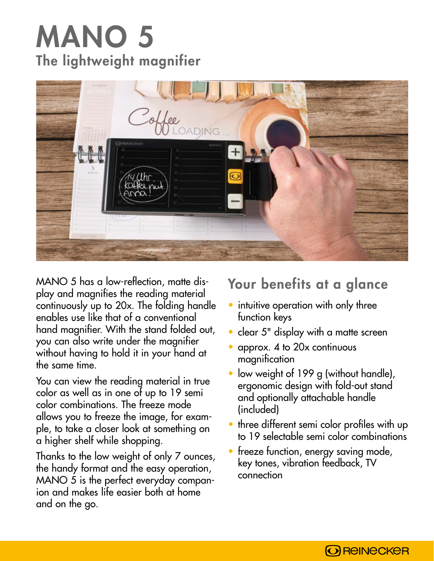# MANO 5 The lightweight magnifier



MANO 5 has a low-reflection, matte display and magnifies the reading material continuously up to 20x. The folding handle enables use like that of a conventional hand magnifier. With the stand folded out, you can also write under the magnifier without having to hold it in your hand at the same time.

You can view the reading material in true color as well as in one of up to 19 semi color combinations. The freeze mode allows you to freeze the image, for example, to take a closer look at something on a higher shelf while shopping.

Thanks to the low weight of only 7 ounces, the handy format and the easy operation, MANO 5 is the perfect everyday companion and makes life easier both at home and on the go.

## Your benefits at a glance

- intuitive operation with only three function keys
- clear 5" display with a matte screen
- approx. 4 to 20x continuous magnification
- low weight of 199 g (without handle), ergonomic design with fold-out stand and optionally attachable handle (included)
- three different semi color profiles with up to 19 selectable semi color combinations
- freeze function, energy saving mode, key tones, vibration feedback, TV connection